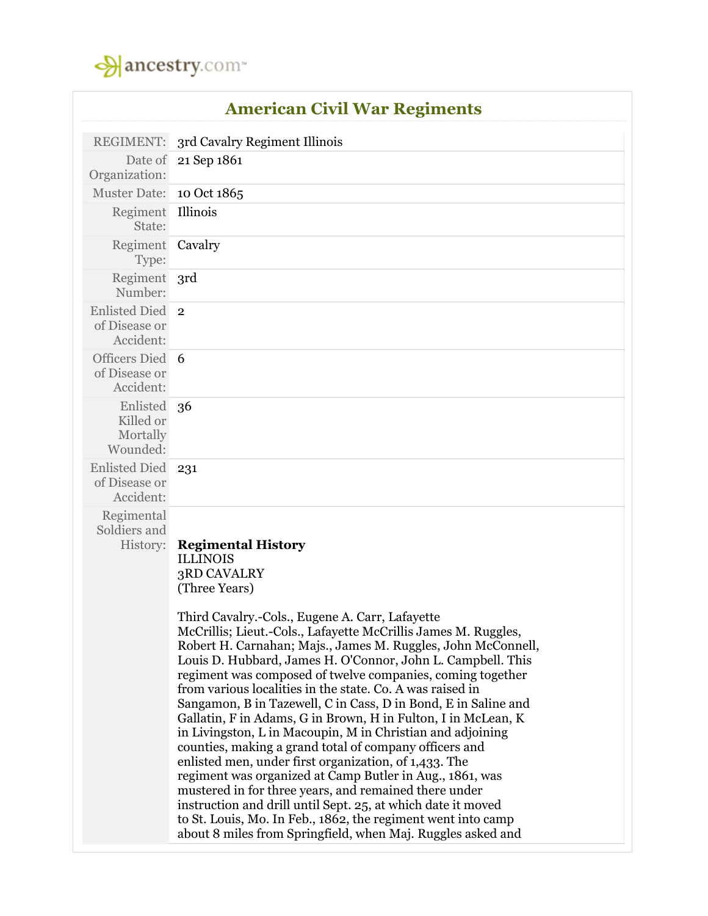

|                                                    | <b>American Civil War Regiments</b>                                                                                                                                                                                                                                                                                                                                                                                                                                                                                                                                                                                                                                                                                                                                                                                                                                                                                                                                                                                                                                                                        |
|----------------------------------------------------|------------------------------------------------------------------------------------------------------------------------------------------------------------------------------------------------------------------------------------------------------------------------------------------------------------------------------------------------------------------------------------------------------------------------------------------------------------------------------------------------------------------------------------------------------------------------------------------------------------------------------------------------------------------------------------------------------------------------------------------------------------------------------------------------------------------------------------------------------------------------------------------------------------------------------------------------------------------------------------------------------------------------------------------------------------------------------------------------------------|
| REGIMENT:                                          | 3rd Cavalry Regiment Illinois                                                                                                                                                                                                                                                                                                                                                                                                                                                                                                                                                                                                                                                                                                                                                                                                                                                                                                                                                                                                                                                                              |
| Date of<br>Organization:                           | 21 Sep 1861                                                                                                                                                                                                                                                                                                                                                                                                                                                                                                                                                                                                                                                                                                                                                                                                                                                                                                                                                                                                                                                                                                |
| <b>Muster Date:</b>                                | 10 Oct 1865                                                                                                                                                                                                                                                                                                                                                                                                                                                                                                                                                                                                                                                                                                                                                                                                                                                                                                                                                                                                                                                                                                |
| Regiment<br>State:                                 | Illinois                                                                                                                                                                                                                                                                                                                                                                                                                                                                                                                                                                                                                                                                                                                                                                                                                                                                                                                                                                                                                                                                                                   |
| Regiment Cavalry<br>Type:                          |                                                                                                                                                                                                                                                                                                                                                                                                                                                                                                                                                                                                                                                                                                                                                                                                                                                                                                                                                                                                                                                                                                            |
| Regiment 3rd<br>Number:                            |                                                                                                                                                                                                                                                                                                                                                                                                                                                                                                                                                                                                                                                                                                                                                                                                                                                                                                                                                                                                                                                                                                            |
| <b>Enlisted Died</b><br>of Disease or<br>Accident: | $\overline{2}$                                                                                                                                                                                                                                                                                                                                                                                                                                                                                                                                                                                                                                                                                                                                                                                                                                                                                                                                                                                                                                                                                             |
| Officers Died 6<br>of Disease or<br>Accident:      |                                                                                                                                                                                                                                                                                                                                                                                                                                                                                                                                                                                                                                                                                                                                                                                                                                                                                                                                                                                                                                                                                                            |
| Enlisted<br>Killed or<br>Mortally<br>Wounded:      | 36                                                                                                                                                                                                                                                                                                                                                                                                                                                                                                                                                                                                                                                                                                                                                                                                                                                                                                                                                                                                                                                                                                         |
| <b>Enlisted Died</b><br>of Disease or<br>Accident: | 231                                                                                                                                                                                                                                                                                                                                                                                                                                                                                                                                                                                                                                                                                                                                                                                                                                                                                                                                                                                                                                                                                                        |
| Regimental<br>Soldiers and<br>History:             | <b>Regimental History</b><br><b>ILLINOIS</b><br><b>3RD CAVALRY</b><br>(Three Years)<br>Third Cavalry.-Cols., Eugene A. Carr, Lafayette<br>McCrillis; Lieut.-Cols., Lafayette McCrillis James M. Ruggles,<br>Robert H. Carnahan; Majs., James M. Ruggles, John McConnell,<br>Louis D. Hubbard, James H. O'Connor, John L. Campbell. This<br>regiment was composed of twelve companies, coming together<br>from various localities in the state. Co. A was raised in<br>Sangamon, B in Tazewell, C in Cass, D in Bond, E in Saline and<br>Gallatin, F in Adams, G in Brown, H in Fulton, I in McLean, K<br>in Livingston, L in Macoupin, M in Christian and adjoining<br>counties, making a grand total of company officers and<br>enlisted men, under first organization, of 1,433. The<br>regiment was organized at Camp Butler in Aug., 1861, was<br>mustered in for three years, and remained there under<br>instruction and drill until Sept. 25, at which date it moved<br>to St. Louis, Mo. In Feb., 1862, the regiment went into camp<br>about 8 miles from Springfield, when Maj. Ruggles asked and |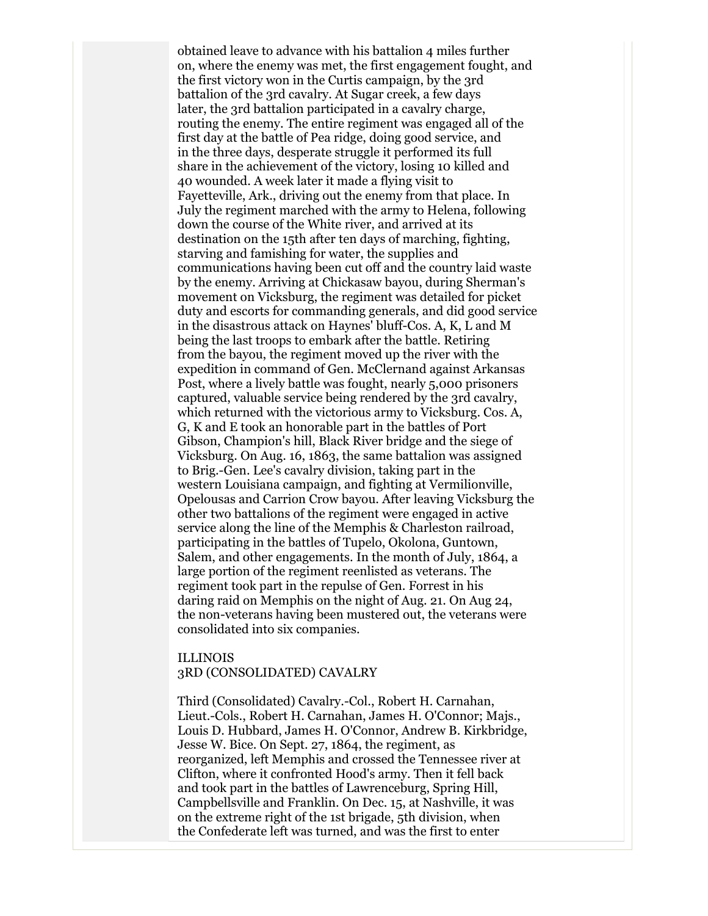obtained leave to advance with his battalion 4 miles further on, where the enemy was met, the first engagement fought, and the first victory won in the Curtis campaign, by the 3rd battalion of the 3rd cavalry. At Sugar creek, a few days later, the 3rd battalion participated in a cavalry charge, routing the enemy. The entire regiment was engaged all of the first day at the battle of Pea ridge, doing good service, and in the three days, desperate struggle it performed its full share in the achievement of the victory, losing 10 killed and 40 wounded. A week later it made a flying visit to Fayetteville, Ark., driving out the enemy from that place. In July the regiment marched with the army to Helena, following down the course of the White river, and arrived at its destination on the 15th after ten days of marching, fighting, starving and famishing for water, the supplies and communications having been cut off and the country laid waste by the enemy. Arriving at Chickasaw bayou, during Sherman's movement on Vicksburg, the regiment was detailed for picket duty and escorts for commanding generals, and did good service in the disastrous attack on Haynes' bluff-Cos. A, K, L and M being the last troops to embark after the battle. Retiring from the bayou, the regiment moved up the river with the expedition in command of Gen. McClernand against Arkansas Post, where a lively battle was fought, nearly 5,000 prisoners captured, valuable service being rendered by the 3rd cavalry, which returned with the victorious army to Vicksburg. Cos. A, G, K and E took an honorable part in the battles of Port Gibson, Champion's hill, Black River bridge and the siege of Vicksburg. On Aug. 16, 1863, the same battalion was assigned to Brig.-Gen. Lee's cavalry division, taking part in the western Louisiana campaign, and fighting at Vermilionville, Opelousas and Carrion Crow bayou. After leaving Vicksburg the other two battalions of the regiment were engaged in active service along the line of the Memphis & Charleston railroad, participating in the battles of Tupelo, Okolona, Guntown, Salem, and other engagements. In the month of July, 1864, a large portion of the regiment reenlisted as veterans. The regiment took part in the repulse of Gen. Forrest in his daring raid on Memphis on the night of Aug. 21. On Aug 24, the non-veterans having been mustered out, the veterans were consolidated into six companies.

## ILLINOIS 3RD (CONSOLIDATED) CAVALRY

Third (Consolidated) Cavalry.-Col., Robert H. Carnahan, Lieut.-Cols., Robert H. Carnahan, James H. O'Connor; Majs., Louis D. Hubbard, James H. O'Connor, Andrew B. Kirkbridge, Jesse W. Bice. On Sept. 27, 1864, the regiment, as reorganized, left Memphis and crossed the Tennessee river at Clifton, where it confronted Hood's army. Then it fell back and took part in the battles of Lawrenceburg, Spring Hill, Campbellsville and Franklin. On Dec. 15, at Nashville, it was on the extreme right of the 1st brigade, 5th division, when the Confederate left was turned, and was the first to enter